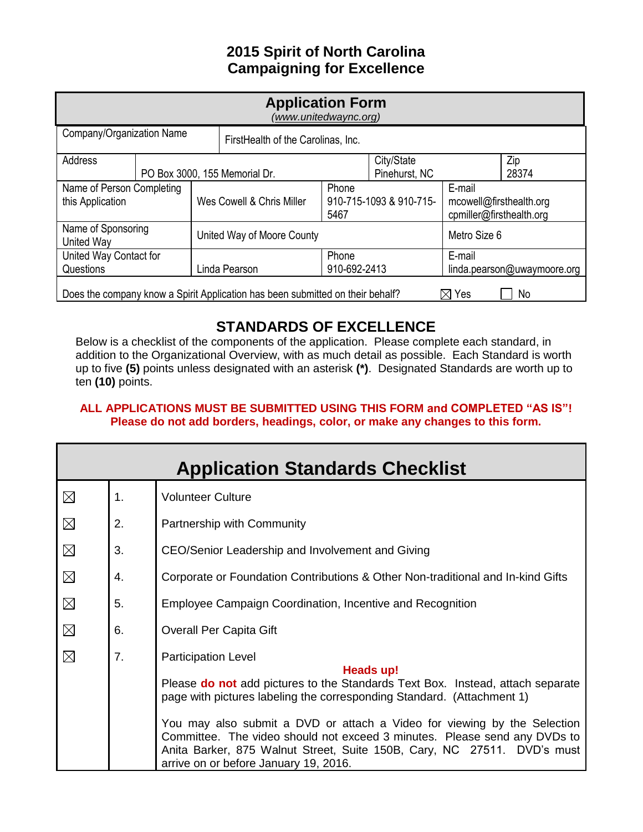# **2015 Spirit of North Carolina Campaigning for Excellence**

| <b>Application Form</b><br>(www.unitedwaync.org)                                                 |  |                           |                                    |                                 |               |                                                     |       |
|--------------------------------------------------------------------------------------------------|--|---------------------------|------------------------------------|---------------------------------|---------------|-----------------------------------------------------|-------|
| Company/Organization Name                                                                        |  |                           | FirstHealth of the Carolinas, Inc. |                                 |               |                                                     |       |
| Address                                                                                          |  |                           |                                    |                                 | City/State    |                                                     | Zip   |
| PO Box 3000, 155 Memorial Dr.                                                                    |  |                           |                                    |                                 | Pinehurst, NC |                                                     | 28374 |
| Name of Person Completing                                                                        |  |                           | Phone                              |                                 | E-mail        |                                                     |       |
| this Application                                                                                 |  | Wes Cowell & Chris Miller |                                    | 910-715-1093 & 910-715-<br>5467 |               | mcowell@firsthealth.org<br>cpmiller@firsthealth.org |       |
| Name of Sponsoring<br>United Way                                                                 |  |                           | United Way of Moore County         |                                 |               | Metro Size 6                                        |       |
| United Way Contact for                                                                           |  |                           | Phone                              |                                 | E-mail        |                                                     |       |
| Questions                                                                                        |  |                           | 910-692-2413<br>Linda Pearson      |                                 |               | linda.pearson@uwaymoore.org                         |       |
| Does the company know a Spirit Application has been submitted on their behalf?<br>Yes<br>⋈<br>No |  |                           |                                    |                                 |               |                                                     |       |

# **STANDARDS OF EXCELLENCE**

Below is a checklist of the components of the application. Please complete each standard, in addition to the Organizational Overview, with as much detail as possible. Each Standard is worth up to five **(5)** points unless designated with an asterisk **(\*)**. Designated Standards are worth up to ten **(10)** points.

## **ALL APPLICATIONS MUST BE SUBMITTED USING THIS FORM and COMPLETED "AS IS"! Please do not add borders, headings, color, or make any changes to this form.**

| <b>Application Standards Checklist</b> |                |                                                                                                                                                                                                                                                                                                                                                                                                                                                                                  |  |  |  |  |
|----------------------------------------|----------------|----------------------------------------------------------------------------------------------------------------------------------------------------------------------------------------------------------------------------------------------------------------------------------------------------------------------------------------------------------------------------------------------------------------------------------------------------------------------------------|--|--|--|--|
| $\boxtimes$                            | $\mathbf{1}$ . | <b>Volunteer Culture</b>                                                                                                                                                                                                                                                                                                                                                                                                                                                         |  |  |  |  |
| $\boxtimes$                            | 2.             | Partnership with Community                                                                                                                                                                                                                                                                                                                                                                                                                                                       |  |  |  |  |
| $\boxtimes$                            | 3.             | CEO/Senior Leadership and Involvement and Giving                                                                                                                                                                                                                                                                                                                                                                                                                                 |  |  |  |  |
| $\boxtimes$                            | 4.             | Corporate or Foundation Contributions & Other Non-traditional and In-kind Gifts                                                                                                                                                                                                                                                                                                                                                                                                  |  |  |  |  |
| $\boxtimes$                            | 5.             | Employee Campaign Coordination, Incentive and Recognition                                                                                                                                                                                                                                                                                                                                                                                                                        |  |  |  |  |
| $\boxtimes$                            | 6.             | <b>Overall Per Capita Gift</b>                                                                                                                                                                                                                                                                                                                                                                                                                                                   |  |  |  |  |
| $\boxtimes$                            | 7.             | <b>Participation Level</b><br>Heads up!<br>Please do not add pictures to the Standards Text Box. Instead, attach separate<br>page with pictures labeling the corresponding Standard. (Attachment 1)<br>You may also submit a DVD or attach a Video for viewing by the Selection<br>Committee. The video should not exceed 3 minutes. Please send any DVDs to<br>Anita Barker, 875 Walnut Street, Suite 150B, Cary, NC 27511. DVD's must<br>arrive on or before January 19, 2016. |  |  |  |  |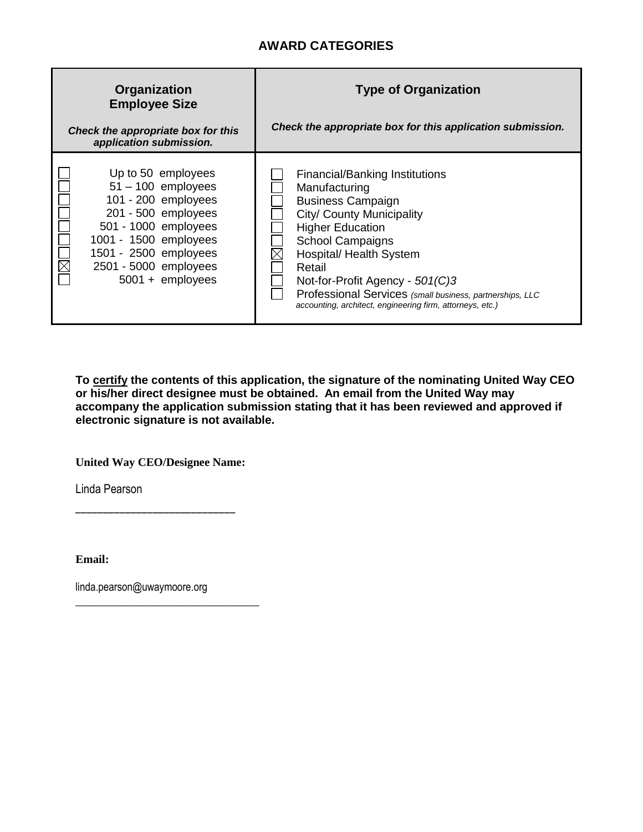## **AWARD CATEGORIES**

| Organization<br><b>Employee Size</b>                                                                                                                                                                              | <b>Type of Organization</b>                                                                                                                                                                                                                                                                                                                                            |  |  |  |
|-------------------------------------------------------------------------------------------------------------------------------------------------------------------------------------------------------------------|------------------------------------------------------------------------------------------------------------------------------------------------------------------------------------------------------------------------------------------------------------------------------------------------------------------------------------------------------------------------|--|--|--|
| Check the appropriate box for this<br>application submission.                                                                                                                                                     | Check the appropriate box for this application submission.                                                                                                                                                                                                                                                                                                             |  |  |  |
| Up to 50 employees<br>$51 - 100$ employees<br>101 - 200 employees<br>201 - 500 employees<br>501 - 1000 employees<br>1001 - 1500 employees<br>1501 - 2500 employees<br>2501 - 5000 employees<br>$5001 +$ employees | <b>Financial/Banking Institutions</b><br>Manufacturing<br><b>Business Campaign</b><br>City/ County Municipality<br><b>Higher Education</b><br><b>School Campaigns</b><br>Hospital/ Health System<br>Retail<br>Not-for-Profit Agency - 501(C)3<br>Professional Services (small business, partnerships, LLC<br>accounting, architect, engineering firm, attorneys, etc.) |  |  |  |

**To certify the contents of this application, the signature of the nominating United Way CEO or his/her direct designee must be obtained. An email from the United Way may accompany the application submission stating that it has been reviewed and approved if electronic signature is not available.**

**United Way CEO/Designee Name:**

*\_\_\_\_\_\_\_\_\_\_\_\_\_\_\_\_\_\_\_\_\_\_\_\_\_\_\_\_\_*

Linda Pearson

**Email:**

linda.pearson@uwaymoore.org

\_\_\_\_\_\_\_\_\_\_\_\_\_\_\_\_\_\_\_\_\_\_\_\_\_\_\_\_\_\_\_\_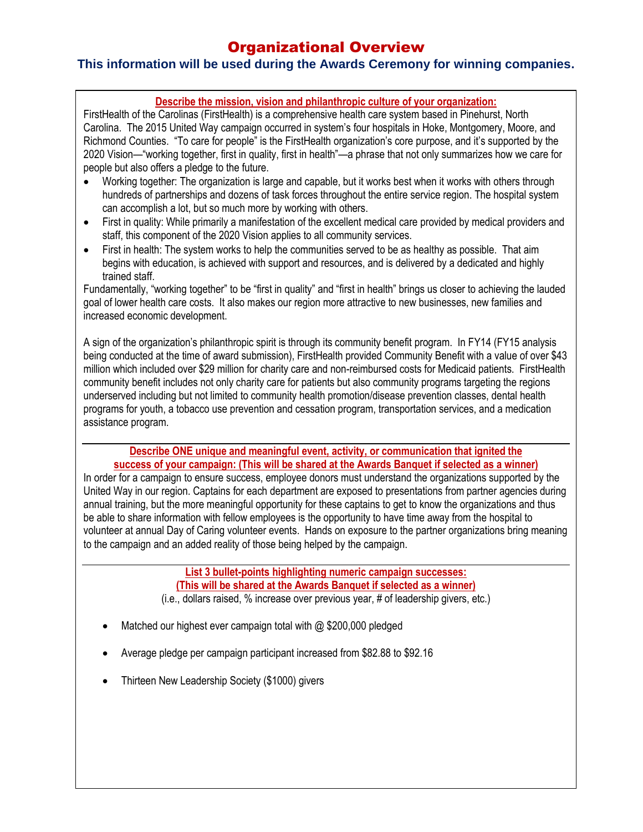# Organizational Overview

## **This information will be used during the Awards Ceremony for winning companies.**

### **Describe the mission, vision and philanthropic culture of your organization:**

Carolina. The 2015 United Way campaign occurred in system's four hospitals in Hoke, Montgomery, Moore, and  Richmond Counties. "To care for people" is the FirstHealth organization's core purpose, and it's supported by the  2020 Vision—"working together, first in quality, first in health"—a phrase that not only summarizes how we care for FirstHealth of the Carolinas (FirstHealth) is a comprehensive health care system based in Pinehurst, North people but also offers a pledge to the future.

- **•** Working together: The organization is large and capable, but it works best when it works with others through  hundreds of partnerships and dozens of task forces throughout the entire service region. The hospital system can accomplish a lot, but so much more by working with others.
- staff, this component of the 2020 Vision applies to all community services. First in quality: While primarily a manifestation of the excellent medical care provided by medical providers and
- First in health: The system works to help the communities served to be as healthy as possible. That aim  begins with education, is achieved with support and resources, and is delivered by a dedicated and highly trained staff.

 Fundamentally, "working together" to be "first in quality" and "first in health" brings us closer to achieving the lauded  goal of lower health care costs. It also makes our region more attractive to new businesses, new families and increased economic development.

 community benefit includes not only charity care for patients but also community programs targeting the regions underserved including but not immed to community nealth promotion/disease prevention classes, dental nealth<br>programs for youth, a tobacco use prevention and cessation program, transportation services, and a medication A sign of the organization's philanthropic spirit is through its community benefit program. In FY14 (FY15 analysis being conducted at the time of award submission), FirstHealth provided Community Benefit with a value of over \$43 million which included over \$29 million for charity care and non-reimbursed costs for Medicaid patients. FirstHealth underserved including but not limited to community health promotion/disease prevention classes, dental health assistance program.

 **Describe ONE unique and meaningful event, activity, or communication that ignited the success of your campaign: (This will be shared at the Awards Banquet if selected as a winner)**

success or your campaign. Thus will be shared at the Awards Banquet if selected as a willier)<br>In order for a campaign to ensure success, employee donors must understand the organizations supported by the  United Way in our region. Captains for each department are exposed to presentations from partner agencies during  annual training, but the more meaningful opportunity for these captains to get to know the organizations and thus be able to share information with fellow employees is the opportunity to have time away from the hospital to  to the campaign and an added reality of those being helped by the campaign. volunteer at annual Day of Caring volunteer events. Hands on exposure to the partner organizations bring meaning

> **List 3 bullet-points highlighting numeric campaign successes:**   **(This will be shared at the Awards Banquet if selected as a winner)**

 (i.e., dollars raised, % increase over previous year, # of leadership givers, etc.)

- Matched our highest ever campaign total with @ \$200,000 pledged
- Average pledge per campaign participant increased from \$82.88 to \$92.16
- Thirteen New Leadership Society (\$1000) givers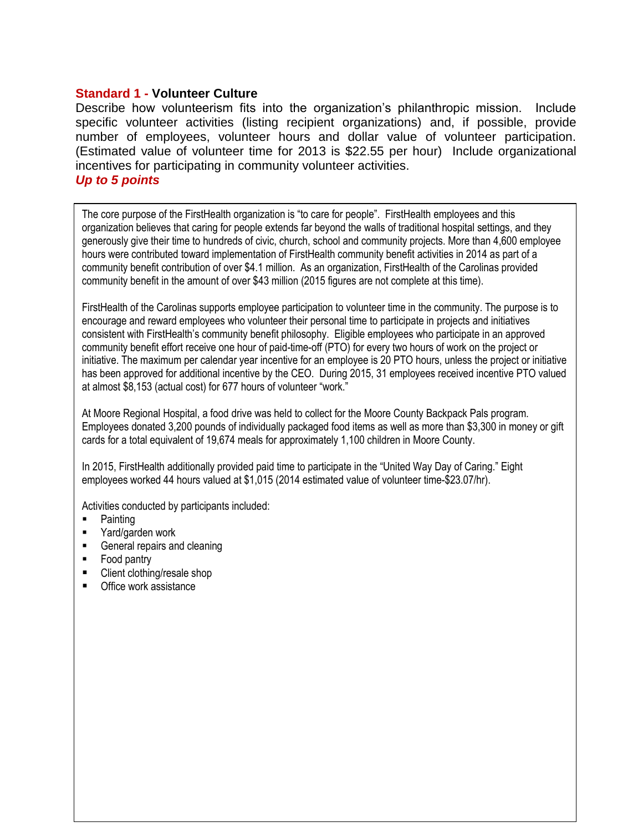### **Standard 1 - Volunteer Culture**

Describe how volunteerism fits into the organization's philanthropic mission. Include specific volunteer activities (listing recipient organizations) and, if possible, provide number of employees, volunteer hours and dollar value of volunteer participation. (Estimated value of volunteer time for 2013 is \$22.55 per hour) Include organizational incentives for participating in community volunteer activities.

## *Up to 5 points*

The core purpose of the FirstHealth organization is "to care for people". FirstHealth employees and this  organization believes that caring for people extends far beyond the walls of traditional hospital settings, and they  hours were contributed toward implementation of FirstHealth community benefit activities in 2014 as part of a  community benefit contribution of over \$4.1 million. As an organization, FirstHealth of the Carolinas provided  community benefit in the amount of over \$43 million (2015 figures are not complete at this time). generously give their time to hundreds of civic, church, school and community projects. More than 4,600 employee

 FirstHealth of the Carolinas supports employee participation to volunteer time in the community. The purpose is to  encourage and reward employees who volunteer their personal time to participate in projects and initiatives  consistent with FirstHealth's community benefit philosophy. Eligible employees who participate in an approved community benefit effort receive one hour of paid-time-off (PTO) for every two hours of work on the project or  has been approved for additional incentive by the CEO. During 2015, 31 employees received incentive PTO valued  at almost \$8,153 (actual cost) for 677 hours of volunteer "work." initiative. The maximum per calendar year incentive for an employee is 20 PTO hours, unless the project or initiative

At moore Regionar Hospital, a lood drive was held to collect for the moore County Backpack Hais program.<br>Employees donated 3,200 pounds of individually packaged food items as well as more than \$3,300 in money or gift cards for a total equivalent of 19,674 meals for approximately 1,100 children in Moore County. At Moore Regional Hospital, a food drive was held to collect for the Moore County Backpack Pals program.

In 2015, FirstHealth additionally provided paid time to participate in the "United Way Day of Caring." Eight control of the control of the control of the control of the control of the control of the control of the control  employees worked 44 hours valued at \$1,015 (2014 estimated value of volunteer time-\$23.07/hr).

Activities conducted by participants included:

- **Painting**
- **Yard/garden work**
- General repairs and cleaning
- Food pantry
- Client clothing/resale shop
- Office work assistance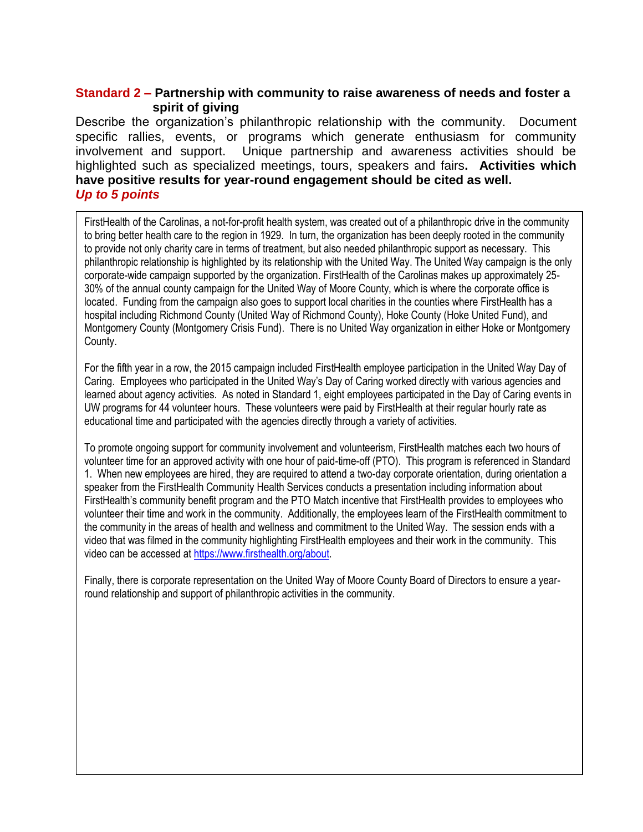## **Standard 2 – Partnership with community to raise awareness of needs and foster a spirit of giving**

Describe the organization's philanthropic relationship with the community. Document specific rallies, events, or programs which generate enthusiasm for community involvement and support. Unique partnership and awareness activities should be highlighted such as specialized meetings, tours, speakers and fairs**. Activities which have positive results for year-round engagement should be cited as well.**  *Up to 5 points*

FirstHealth of the Carolinas, a not-for-profit health system, was created out of a philanthropic drive in the community to bring better health care to the region in 1929. In turn, the organization has been deeply rooted in the community to provide not only charity care in terms of treatment, but also needed philanthropic support as necessary. This philanthropic relationship is highlighted by its relationship with the United Way. The United Way campaign is the only corporate-wide campaign supported by the organization. FirstHealth of the Carolinas makes up approximately 25- 30% of the annual county campaign for the United Way of Moore County, which is where the corporate office is located. Funding from the campaign also goes to support local charities in the counties where FirstHealth has a hospital including Richmond County (United Way of Richmond County), Hoke County (Hoke United Fund), and Montgomery County (Montgomery Crisis Fund). There is no United Way organization in either Hoke or Montgomery County.

For the fifth year in a row, the 2015 campaign included FirstHealth employee participation in the United Way Day of Caring. Employees who participated in the United Way's Day of Caring worked directly with various agencies and learned about agency activities. As noted in Standard 1, eight employees participated in the Day of Caring events in UW programs for 44 volunteer hours. These volunteers were paid by FirstHealth at their regular hourly rate as educational time and participated with the agencies directly through a variety of activities.

To promote ongoing support for community involvement and volunteerism, FirstHealth matches each two hours of volunteer time for an approved activity with one hour of paid-time-off (PTO). This program is referenced in Standard 1. When new employees are hired, they are required to attend a two-day corporate orientation, during orientation a speaker from the FirstHealth Community Health Services conducts a presentation including information about FirstHealth's community benefit program and the PTO Match incentive that FirstHealth provides to employees who volunteer their time and work in the community. Additionally, the employees learn of the FirstHealth commitment to the community in the areas of health and wellness and commitment to the United Way. The session ends with a video that was filmed in the community highlighting FirstHealth employees and their work in the community. This video can be accessed a[t https://www.firsthealth.org/about.](https://www.firsthealth.org/about)

Finally, there is corporate representation on the United Way of Moore County Board of Directors to ensure a yearround relationship and support of philanthropic activities in the community.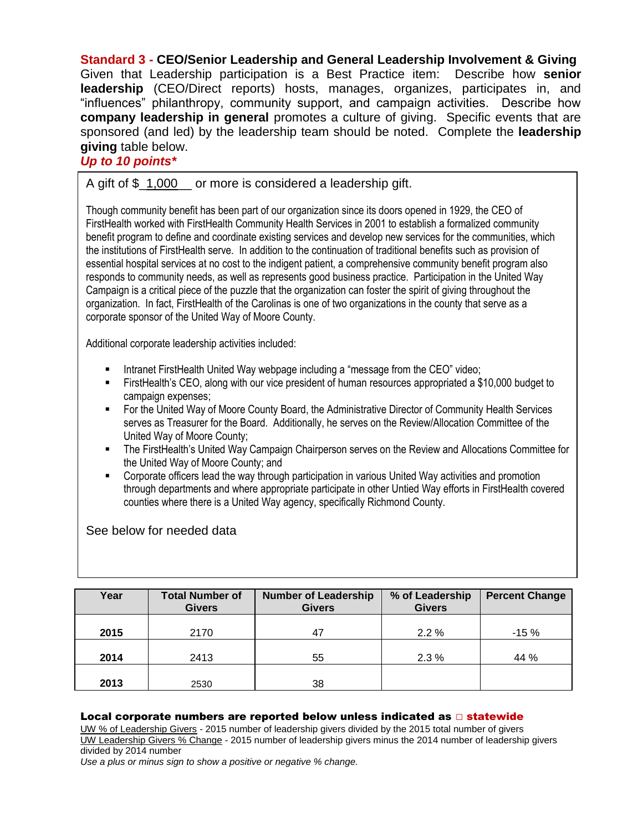**Standard 3 - CEO/Senior Leadership and General Leadership Involvement & Giving** Given that Leadership participation is a Best Practice item: Describe how **senior leadership** (CEO/Direct reports) hosts, manages, organizes, participates in, and "influences" philanthropy, community support, and campaign activities. Describe how **company leadership in general** promotes a culture of giving. Specific events that are sponsored (and led) by the leadership team should be noted. Complete the **leadership giving** table below.

### *Up to 10 points\**

A gift of \$ 1,000 or more is considered a leadership gift.

Though community benefit has been part of our organization since its doors opened in 1929, the CEO of FirstHealth worked with FirstHealth Community Health Services in 2001 to establish a formalized community benefit program to define and coordinate existing services and develop new services for the communities, which the institutions of FirstHealth serve. In addition to the continuation of traditional benefits such as provision of essential hospital services at no cost to the indigent patient, a comprehensive community benefit program also responds to community needs, as well as represents good business practice. Participation in the United Way Campaign is a critical piece of the puzzle that the organization can foster the spirit of giving throughout the organization. In fact, FirstHealth of the Carolinas is one of two organizations in the county that serve as a corporate sponsor of the United Way of Moore County.

Additional corporate leadership activities included:

- Intranet FirstHealth United Way webpage including a "message from the CEO" video;
- FirstHealth's CEO, along with our vice president of human resources appropriated a \$10,000 budget to campaign expenses;
- For the United Way of Moore County Board, the Administrative Director of Community Health Services serves as Treasurer for the Board. Additionally, he serves on the Review/Allocation Committee of the United Way of Moore County;
- The FirstHealth's United Way Campaign Chairperson serves on the Review and Allocations Committee for the United Way of Moore County; and
- Corporate officers lead the way through participation in various United Way activities and promotion through departments and where appropriate participate in other Untied Way efforts in FirstHealth covered counties where there is a United Way agency, specifically Richmond County.

See below for needed data

| Year | <b>Total Number of</b><br><b>Givers</b> | <b>Number of Leadership</b><br><b>Givers</b> | % of Leadership<br><b>Givers</b> | <b>Percent Change</b> |
|------|-----------------------------------------|----------------------------------------------|----------------------------------|-----------------------|
| 2015 | 2170                                    | 47                                           | $2.2\%$                          | $-15%$                |
| 2014 | 2413                                    | 55                                           | $2.3\%$                          | 44 %                  |
| 2013 | 2530                                    | 38                                           |                                  |                       |

#### Local corporate numbers are reported below unless indicated as  $\Box$  statewide

UW % of Leadership Givers - 2015 number of leadership givers divided by the 2015 total number of givers UW Leadership Givers % Change - 2015 number of leadership givers minus the 2014 number of leadership givers divided by 2014 number

*Use a plus or minus sign to show a positive or negative % change.*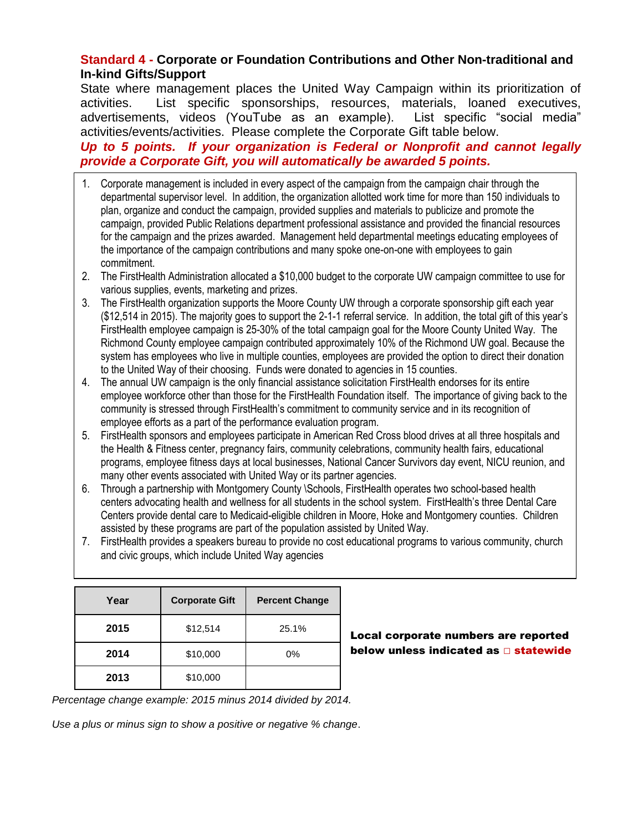## **Standard 4 - Corporate or Foundation Contributions and Other Non-traditional and In-kind Gifts/Support**

State where management places the United Way Campaign within its prioritization of activities. List specific sponsorships, resources, materials, loaned executives, advertisements, videos (YouTube as an example). List specific "social media" activities/events/activities. Please complete the Corporate Gift table below.

## *Up to 5 points. If your organization is Federal or Nonprofit and cannot legally provide a Corporate Gift, you will automatically be awarded 5 points.*

- 1. Corporate management is included in every aspect of the campaign from the campaign chair through the departmental supervisor level. In addition, the organization allotted work time for more than 150 individuals to plan, organize and conduct the campaign, provided supplies and materials to publicize and promote the campaign, provided Public Relations department professional assistance and provided the financial resources for the campaign and the prizes awarded. Management held departmental meetings educating employees of the importance of the campaign contributions and many spoke one-on-one with employees to gain commitment.
- 2. The FirstHealth Administration allocated a \$10,000 budget to the corporate UW campaign committee to use for various supplies, events, marketing and prizes.
- 3. The FirstHealth organization supports the Moore County UW through a corporate sponsorship gift each year (\$12,514 in 2015). The majority goes to support the 2-1-1 referral service. In addition, the total gift of this year's FirstHealth employee campaign is 25-30% of the total campaign goal for the Moore County United Way. The Richmond County employee campaign contributed approximately 10% of the Richmond UW goal. Because the system has employees who live in multiple counties, employees are provided the option to direct their donation to the United Way of their choosing. Funds were donated to agencies in 15 counties.
- 4. The annual UW campaign is the only financial assistance solicitation FirstHealth endorses for its entire employee workforce other than those for the FirstHealth Foundation itself. The importance of giving back to the community is stressed through FirstHealth's commitment to community service and in its recognition of employee efforts as a part of the performance evaluation program.
- 5. FirstHealth sponsors and employees participate in American Red Cross blood drives at all three hospitals and the Health & Fitness center, pregnancy fairs, community celebrations, community health fairs, educational programs, employee fitness days at local businesses, National Cancer Survivors day event, NICU reunion, and many other events associated with United Way or its partner agencies.
- 6. Through a partnership with Montgomery County \Schools, FirstHealth operates two school-based health centers advocating health and wellness for all students in the school system. FirstHealth's three Dental Care Centers provide dental care to Medicaid-eligible children in Moore, Hoke and Montgomery counties. Children assisted by these programs are part of the population assisted by United Way.
- 7. FirstHealth provides a speakers bureau to provide no cost educational programs to various community, church and civic groups, which include United Way agencies

| Year | <b>Corporate Gift</b> | <b>Percent Change</b> |  |
|------|-----------------------|-----------------------|--|
| 2015 | \$12,514              | 25.1%                 |  |
| 2014 | \$10,000              | 0%                    |  |
| 2013 | \$10,000              |                       |  |

Local corporate numbers are reported below unless indicated as □ statewide

*Percentage change example: 2015 minus 2014 divided by 2014.*

*Use a plus or minus sign to show a positive or negative % change*.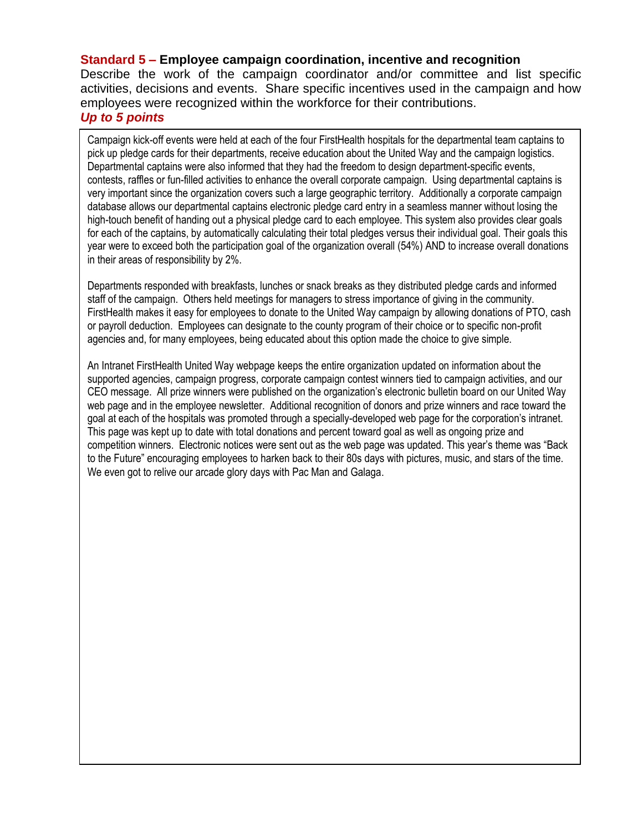## **Standard 5 – Employee campaign coordination, incentive and recognition**

Describe the work of the campaign coordinator and/or committee and list specific activities, decisions and events. Share specific incentives used in the campaign and how employees were recognized within the workforce for their contributions.

## *Up to 5 points*

Campaign kick-off events were held at each of the four FirstHealth hospitals for the departmental team captains to pick up pledge cards for their departments, receive education about the United Way and the campaign logistics. Departmental captains were also informed that they had the freedom to design department-specific events, contests, raffles or fun-filled activities to enhance the overall corporate campaign. Using departmental captains is very important since the organization covers such a large geographic territory. Additionally a corporate campaign database allows our departmental captains electronic pledge card entry in a seamless manner without losing the high-touch benefit of handing out a physical pledge card to each employee. This system also provides clear goals for each of the captains, by automatically calculating their total pledges versus their individual goal. Their goals this year were to exceed both the participation goal of the organization overall (54%) AND to increase overall donations in their areas of responsibility by 2%.

Departments responded with breakfasts, lunches or snack breaks as they distributed pledge cards and informed staff of the campaign. Others held meetings for managers to stress importance of giving in the community. FirstHealth makes it easy for employees to donate to the United Way campaign by allowing donations of PTO, cash or payroll deduction. Employees can designate to the county program of their choice or to specific non-profit agencies and, for many employees, being educated about this option made the choice to give simple.

An Intranet FirstHealth United Way webpage keeps the entire organization updated on information about the supported agencies, campaign progress, corporate campaign contest winners tied to campaign activities, and our CEO message. All prize winners were published on the organization's electronic bulletin board on our United Way web page and in the employee newsletter. Additional recognition of donors and prize winners and race toward the goal at each of the hospitals was promoted through a specially-developed web page for the corporation's intranet. This page was kept up to date with total donations and percent toward goal as well as ongoing prize and competition winners. Electronic notices were sent out as the web page was updated. This year's theme was "Back to the Future" encouraging employees to harken back to their 80s days with pictures, music, and stars of the time. We even got to relive our arcade glory days with Pac Man and Galaga.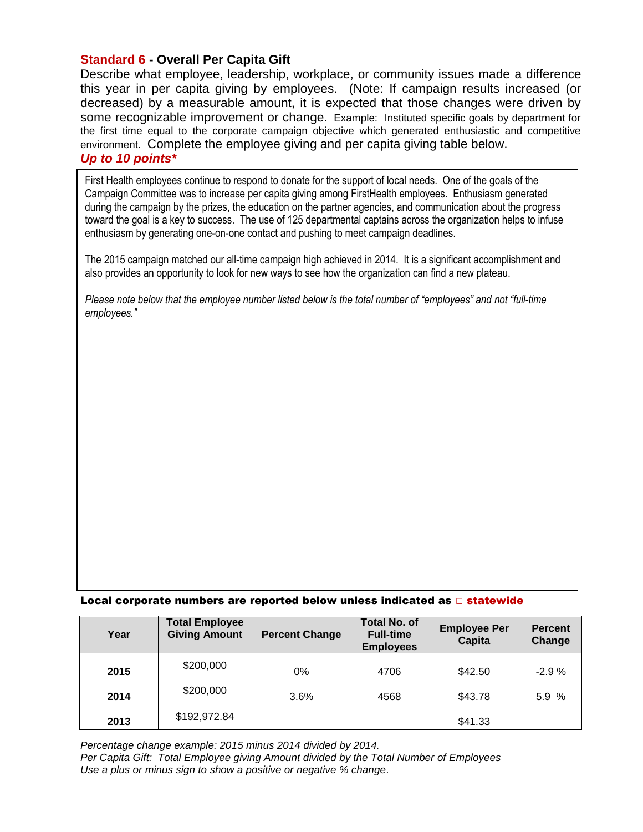## **Standard 6 - Overall Per Capita Gift**

Describe what employee, leadership, workplace, or community issues made a difference this year in per capita giving by employees. (Note: If campaign results increased (or decreased) by a measurable amount, it is expected that those changes were driven by some recognizable improvement or change. Example: Instituted specific goals by department for the first time equal to the corporate campaign objective which generated enthusiastic and competitive environment. Complete the employee giving and per capita giving table below. *Up to 10 points\**

First Health employees continue to respond to donate for the support of local needs. One of the goals of the Campaign Committee was to increase per capita giving among FirstHealth employees. Enthusiasm generated during the campaign by the prizes, the education on the partner agencies, and communication about the progress toward the goal is a key to success. The use of 125 departmental captains across the organization helps to infuse enthusiasm by generating one-on-one contact and pushing to meet campaign deadlines.

The 2015 campaign matched our all-time campaign high achieved in 2014. It is a significant accomplishment and also provides an opportunity to look for new ways to see how the organization can find a new plateau.

*Please note below that the employee number listed below is the total number of "employees" and not "full-time employees."*

#### Local corporate numbers are reported below unless indicated as  $\Box$  statewide

| Year | <b>Total Employee</b><br><b>Giving Amount</b> | <b>Percent Change</b> | <b>Total No. of</b><br><b>Full-time</b><br><b>Employees</b> | <b>Employee Per</b><br>Capita | <b>Percent</b><br>Change |
|------|-----------------------------------------------|-----------------------|-------------------------------------------------------------|-------------------------------|--------------------------|
| 2015 | \$200,000                                     | 0%                    | 4706                                                        | \$42.50                       | $-2.9%$                  |
| 2014 | \$200,000                                     | $3.6\%$               | 4568                                                        | \$43.78                       | 5.9%                     |
| 2013 | \$192,972.84                                  |                       |                                                             | \$41.33                       |                          |

*Percentage change example: 2015 minus 2014 divided by 2014. Per Capita Gift: Total Employee giving Amount divided by the Total Number of Employees Use a plus or minus sign to show a positive or negative % change*.